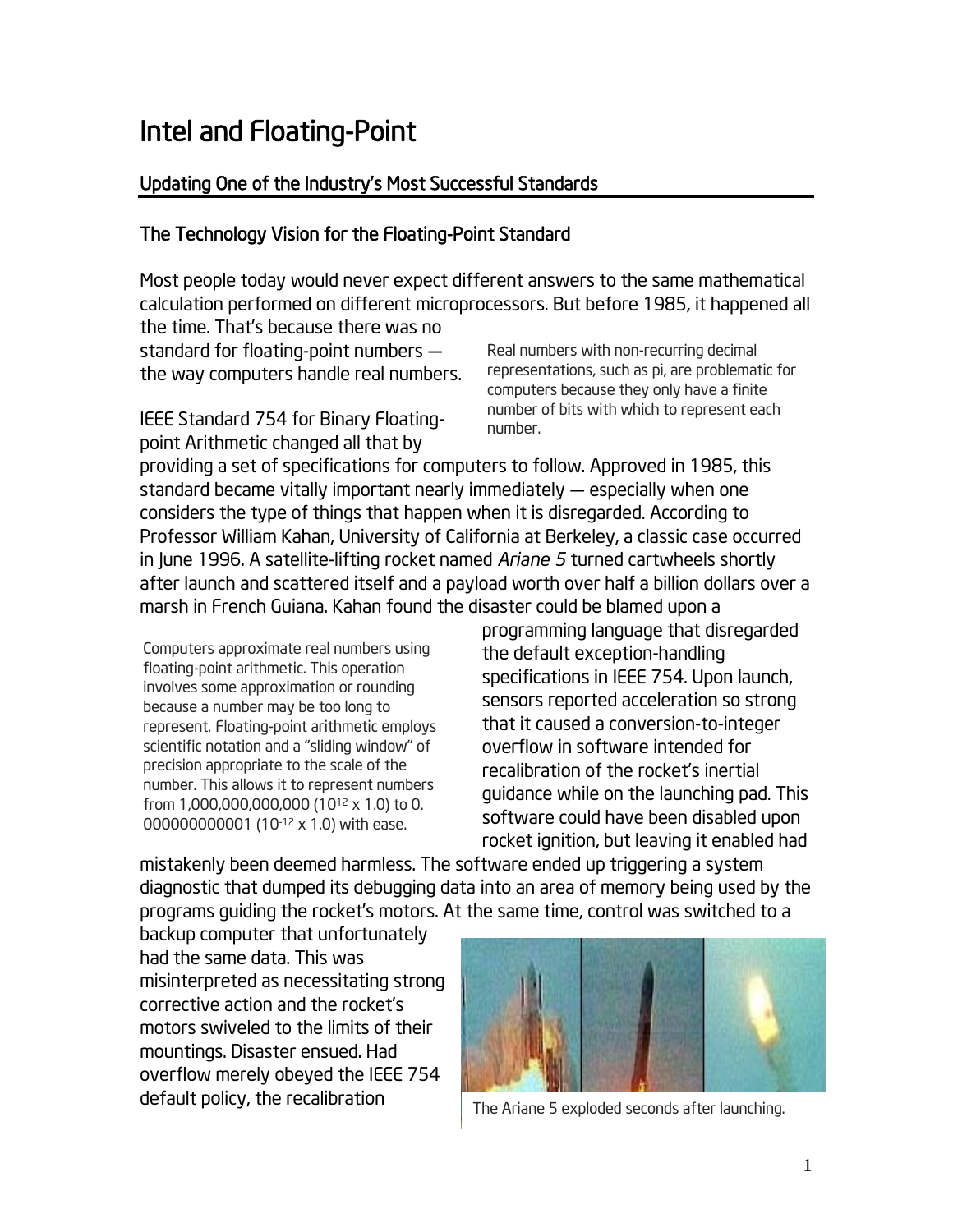# Intel and Floating-Point

## Updating One of the Industry's Most Successful Standards

## The Technology Vision for the Floating-Point Standard

Most people today would never expect different answers to the same mathematical calculation performed on different microprocessors. But before 1985, it happened all the time. That's because there was no

standard for floating-point numbers the way computers handle real numbers.

IEEE Standard 754 for Binary Floatingpoint Arithmetic changed all that by

Real numbers with non-recurring decimal representations, such as pi, are problematic for computers because they only have a finite number of bits with which to represent each number.

providing a set of specifications for computers to follow. Approved in 1985, this standard became vitally important nearly immediately — especially when one considers the type of things that happen when it is disregarded. According to Professor William Kahan, University of California at Berkeley, a classic case occurred in June 1996. A satellite-lifting rocket named *Ariane 5* turned cartwheels shortly after launch and scattered itself and a payload worth over half a billion dollars over a marsh in French Guiana. Kahan found the disaster could be blamed upon a

Computers approximate real numbers using floating-point arithmetic. This operation involves some approximation or rounding because a number may be too long to represent. Floating-point arithmetic employs scientific notation and a "sliding window" of precision appropriate to the scale of the number. This allows it to represent numbers from 1,000,000,000,000 (1012 x 1.0) to 0. 000000000001 (10-12 x 1.0) with ease.

programming language that disregarded the default exception-handling specifications in IEEE 754. Upon launch, sensors reported acceleration so strong that it caused a conversion-to-integer overflow in software intended for recalibration of the rocket's inertial guidance while on the launching pad. This software could have been disabled upon rocket ignition, but leaving it enabled had

mistakenly been deemed harmless. The software ended up triggering a system diagnostic that dumped its debugging data into an area of memory being used by the programs guiding the rocket's motors. At the same time, control was switched to a

backup computer that unfortunately had the same data. This was misinterpreted as necessitating strong corrective action and the rocket's motors swiveled to the limits of their mountings. Disaster ensued. Had overflow merely obeyed the IEEE 754 default policy, the recalibration



The Ariane 5 exploded seconds after launching.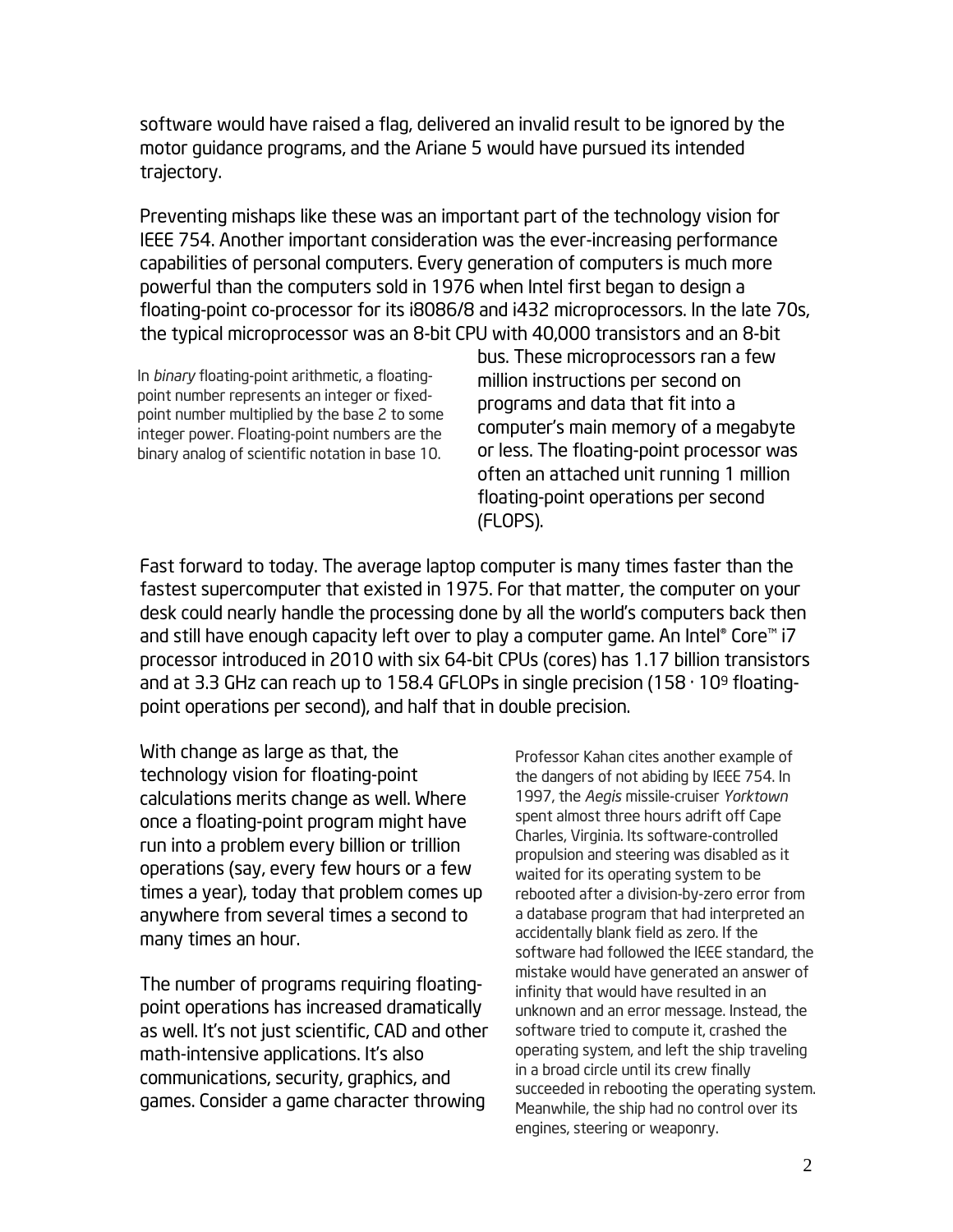software would have raised a flag, delivered an invalid result to be ignored by the motor guidance programs, and the Ariane 5 would have pursued its intended trajectory.

Preventing mishaps like these was an important part of the technology vision for IEEE 754. Another important consideration was the ever-increasing performance capabilities of personal computers. Every generation of computers is much more powerful than the computers sold in 1976 when Intel first began to design a floating-point co-processor for its i8086/8 and i432 microprocessors. In the late 70s, the typical microprocessor was an 8-bit CPU with 40,000 transistors and an 8-bit

In *binary* floating-point arithmetic, a floatingpoint number represents an integer or fixedpoint number multiplied by the base 2 to some integer power. Floating-point numbers are the binary analog of scientific notation in base 10.

bus. These microprocessors ran a few million instructions per second on programs and data that fit into a computer's main memory of a megabyte or less. The floating-point processor was often an attached unit running 1 million floating-point operations per second (FLOPS).

Fast forward to today. The average laptop computer is many times faster than the fastest supercomputer that existed in 1975. For that matter, the computer on your desk could nearly handle the processing done by all the world's computers back then and still have enough capacity left over to play a computer game. An Intel® Core™ i7 processor introduced in 2010 with six 64-bit CPUs (cores) has 1.17 billion transistors and at 3.3 GHz can reach up to 158.4 GFLOPs in single precision  $(158 \cdot 10^9 \text{ floating--}$ point operations per second), and half that in double precision.

With change as large as that, the technology vision for floating-point calculations merits change as well. Where once a floating-point program might have run into a problem every billion or trillion operations (say, every few hours or a few times a year), today that problem comes up anywhere from several times a second to many times an hour.

The number of programs requiring floatingpoint operations has increased dramatically as well. It's not just scientific, CAD and other math-intensive applications. It's also communications, security, graphics, and games. Consider a game character throwing

Professor Kahan cites another example of the dangers of not abiding by IEEE 754. In 1997, the *Aegis* missile-cruiser *Yorktown*  spent almost three hours adrift off Cape Charles, Virginia. Its software-controlled propulsion and steering was disabled as it waited for its operating system to be rebooted after a division-by-zero error from a database program that had interpreted an accidentally blank field as zero. If the software had followed the IEEE standard, the mistake would have generated an answer of infinity that would have resulted in an unknown and an error message. Instead, the software tried to compute it, crashed the operating system, and left the ship traveling in a broad circle until its crew finally succeeded in rebooting the operating system. Meanwhile, the ship had no control over its engines, steering or weaponry.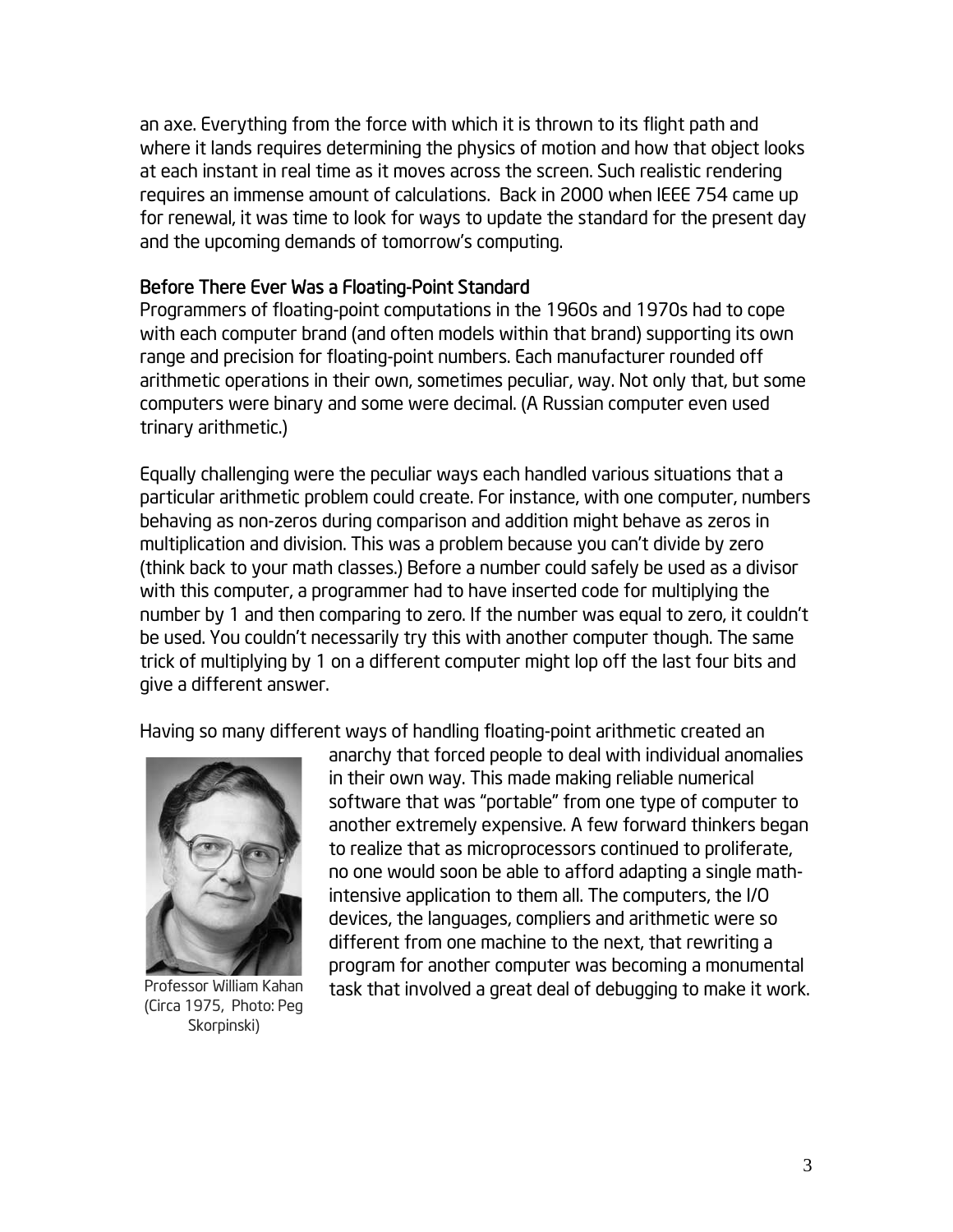an axe. Everything from the force with which it is thrown to its flight path and where it lands requires determining the physics of motion and how that object looks at each instant in real time as it moves across the screen. Such realistic rendering requires an immense amount of calculations. Back in 2000 when IEEE 754 came up for renewal, it was time to look for ways to update the standard for the present day and the upcoming demands of tomorrow's computing.

#### Before There Ever Was a Floating-Point Standard

Programmers of floating-point computations in the 1960s and 1970s had to cope with each computer brand (and often models within that brand) supporting its own range and precision for floating-point numbers. Each manufacturer rounded off arithmetic operations in their own, sometimes peculiar, way. Not only that, but some computers were binary and some were decimal. (A Russian computer even used trinary arithmetic.)

Equally challenging were the peculiar ways each handled various situations that a particular arithmetic problem could create. For instance, with one computer, numbers behaving as non-zeros during comparison and addition might behave as zeros in multiplication and division. This was a problem because you can't divide by zero (think back to your math classes.) Before a number could safely be used as a divisor with this computer, a programmer had to have inserted code for multiplying the number by 1 and then comparing to zero. If the number was equal to zero, it couldn't be used. You couldn't necessarily try this with another computer though. The same trick of multiplying by 1 on a different computer might lop off the last four bits and give a different answer.

Having so many different ways of handling floating-point arithmetic created an



Professor William Kahan (Circa 1975, Photo: Peg Skorpinski)

anarchy that forced people to deal with individual anomalies in their own way. This made making reliable numerical software that was "portable" from one type of computer to another extremely expensive. A few forward thinkers began to realize that as microprocessors continued to proliferate, no one would soon be able to afford adapting a single mathintensive application to them all. The computers, the I/O devices, the languages, compliers and arithmetic were so different from one machine to the next, that rewriting a program for another computer was becoming a monumental task that involved a great deal of debugging to make it work.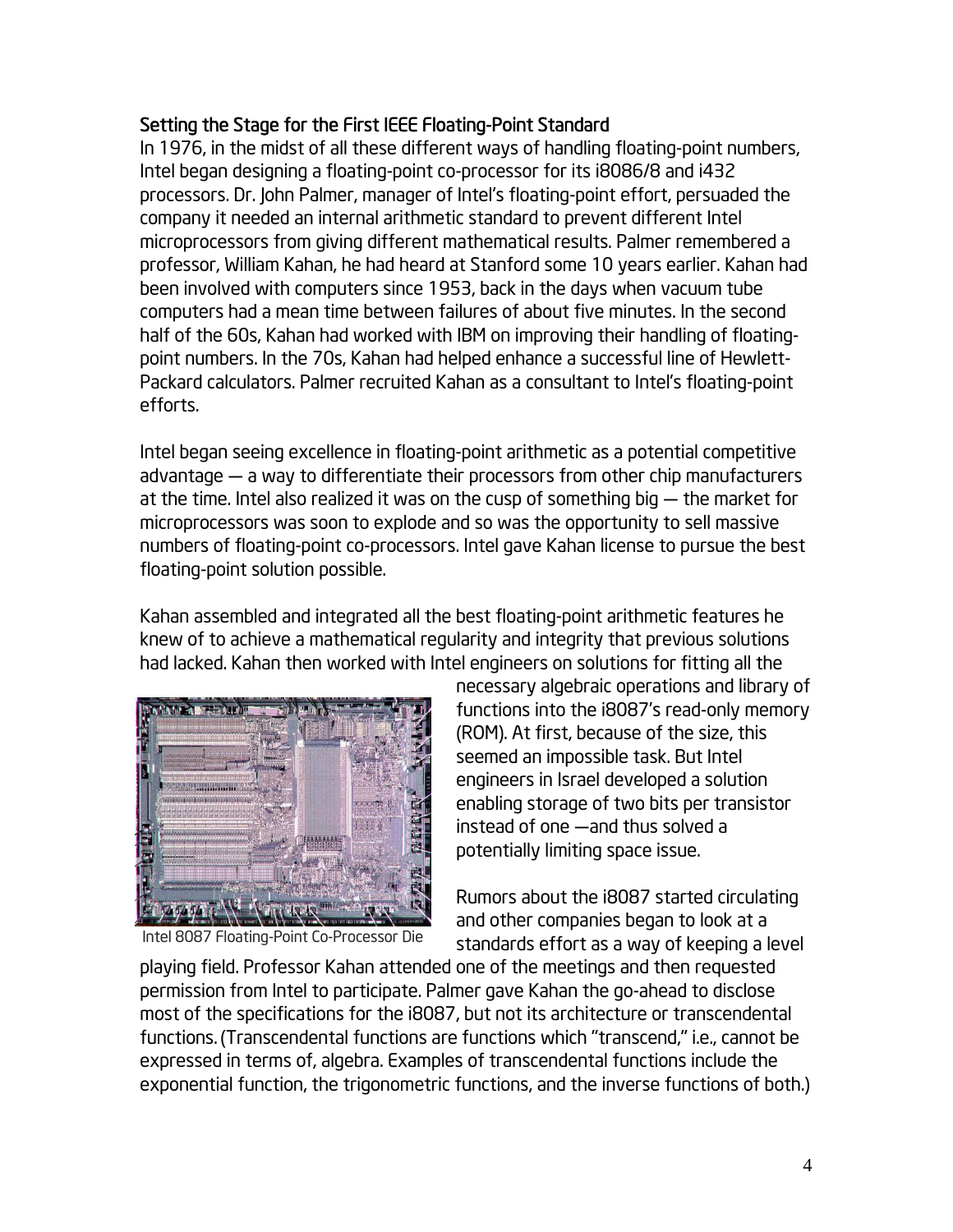## Setting the Stage for the First IEEE Floating-Point Standard

In 1976, in the midst of all these different ways of handling floating-point numbers, Intel began designing a floating-point co-processor for its i8086/8 and i432 processors. Dr. John Palmer, manager of Intel's floating-point effort, persuaded the company it needed an internal arithmetic standard to prevent different Intel microprocessors from giving different mathematical results. Palmer remembered a professor, William Kahan, he had heard at Stanford some 10 years earlier. Kahan had been involved with computers since 1953, back in the days when vacuum tube computers had a mean time between failures of about five minutes. In the second half of the 60s, Kahan had worked with IBM on improving their handling of floatingpoint numbers. In the 70s, Kahan had helped enhance a successful line of Hewlett-Packard calculators. Palmer recruited Kahan as a consultant to Intel's floating-point efforts.

Intel began seeing excellence in floating-point arithmetic as a potential competitive advantage — a way to differentiate their processors from other chip manufacturers at the time. Intel also realized it was on the cusp of something big — the market for microprocessors was soon to explode and so was the opportunity to sell massive numbers of floating-point co-processors. Intel gave Kahan license to pursue the best floating-point solution possible.

Kahan assembled and integrated all the best floating-point arithmetic features he knew of to achieve a mathematical regularity and integrity that previous solutions had lacked. Kahan then worked with Intel engineers on solutions for fitting all the



Intel 8087 Floating-Point Co-Processor Die

necessary algebraic operations and library of functions into the i8087's read-only memory (ROM). At first, because of the size, this seemed an impossible task. But Intel engineers in Israel developed a solution enabling storage of two bits per transistor instead of one —and thus solved a potentially limiting space issue.

Rumors about the i8087 started circulating and other companies began to look at a standards effort as a way of keeping a level

playing field. Professor Kahan attended one of the meetings and then requested permission from Intel to participate. Palmer gave Kahan the go-ahead to disclose most of the specifications for the i8087, but not its architecture or transcendental functions. (Transcendental functions are functions which "transcend," i.e., cannot be expressed in terms of, algebra. Examples of transcendental functions include the exponential function, the trigonometric functions, and the inverse functions of both.)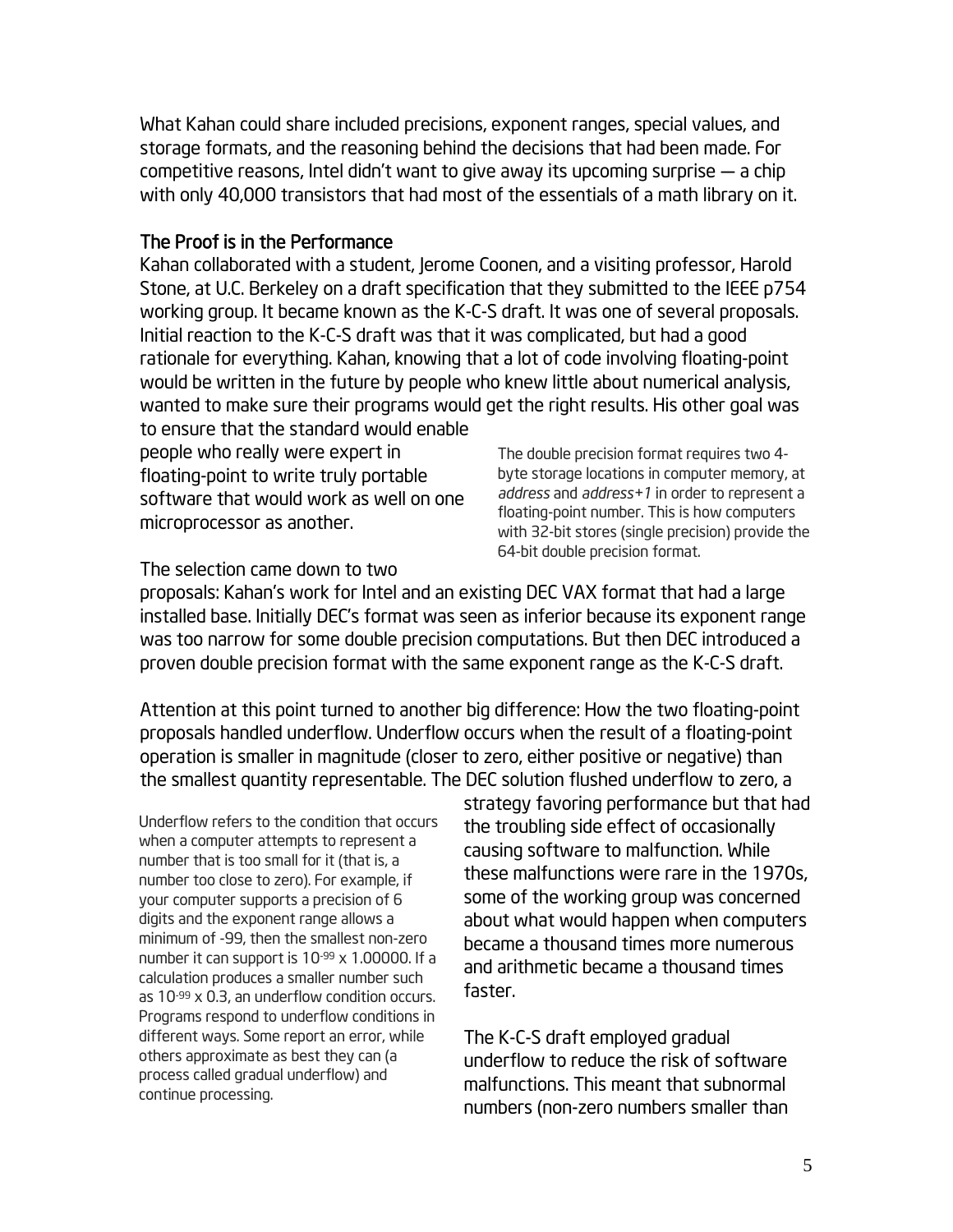What Kahan could share included precisions, exponent ranges, special values, and storage formats, and the reasoning behind the decisions that had been made. For competitive reasons, Intel didn't want to give away its upcoming surprise — a chip with only 40,000 transistors that had most of the essentials of a math library on it.

### The Proof is in the Performance

Kahan collaborated with a student, Jerome Coonen, and a visiting professor, Harold Stone, at U.C. Berkeley on a draft specification that they submitted to the IEEE p754 working group. It became known as the K-C-S draft. It was one of several proposals. Initial reaction to the K-C-S draft was that it was complicated, but had a good rationale for everything. Kahan, knowing that a lot of code involving floating-point would be written in the future by people who knew little about numerical analysis, wanted to make sure their programs would get the right results. His other goal was to ensure that the standard would enable

people who really were expert in floating-point to write truly portable software that would work as well on one microprocessor as another.

The double precision format requires two 4 byte storage locations in computer memory, at *address* and *address+1* in order to represent a floating-point number. This is how computers with 32-bit stores (single precision) provide the 64-bit double precision format.

The selection came down to two

proposals: Kahan's work for Intel and an existing DEC VAX format that had a large installed base. Initially DEC's format was seen as inferior because its exponent range was too narrow for some double precision computations. But then DEC introduced a proven double precision format with the same exponent range as the K-C-S draft.

Attention at this point turned to another big difference: How the two floating-point proposals handled underflow. Underflow occurs when the result of a floating-point operation is smaller in magnitude (closer to zero, either positive or negative) than the smallest quantity representable. The DEC solution flushed underflow to zero, a

Underflow refers to the condition that occurs when a computer attempts to represent a number that is too small for it (that is, a number too close to zero). For example, if your computer supports a precision of 6 digits and the exponent range allows a minimum of -99, then the smallest non-zero number it can support is 10-99 x 1.00000. If a calculation produces a smaller number such as  $10<sup>-99</sup>$  x 0.3, an underflow condition occurs. Programs respond to underflow conditions in different ways. Some report an error, while others approximate as best they can (a process called gradual underflow) and continue processing.

strategy favoring performance but that had the troubling side effect of occasionally causing software to malfunction. While these malfunctions were rare in the 1970s, some of the working group was concerned about what would happen when computers became a thousand times more numerous and arithmetic became a thousand times faster.

The K-C-S draft employed gradual underflow to reduce the risk of software malfunctions. This meant that subnormal numbers (non-zero numbers smaller than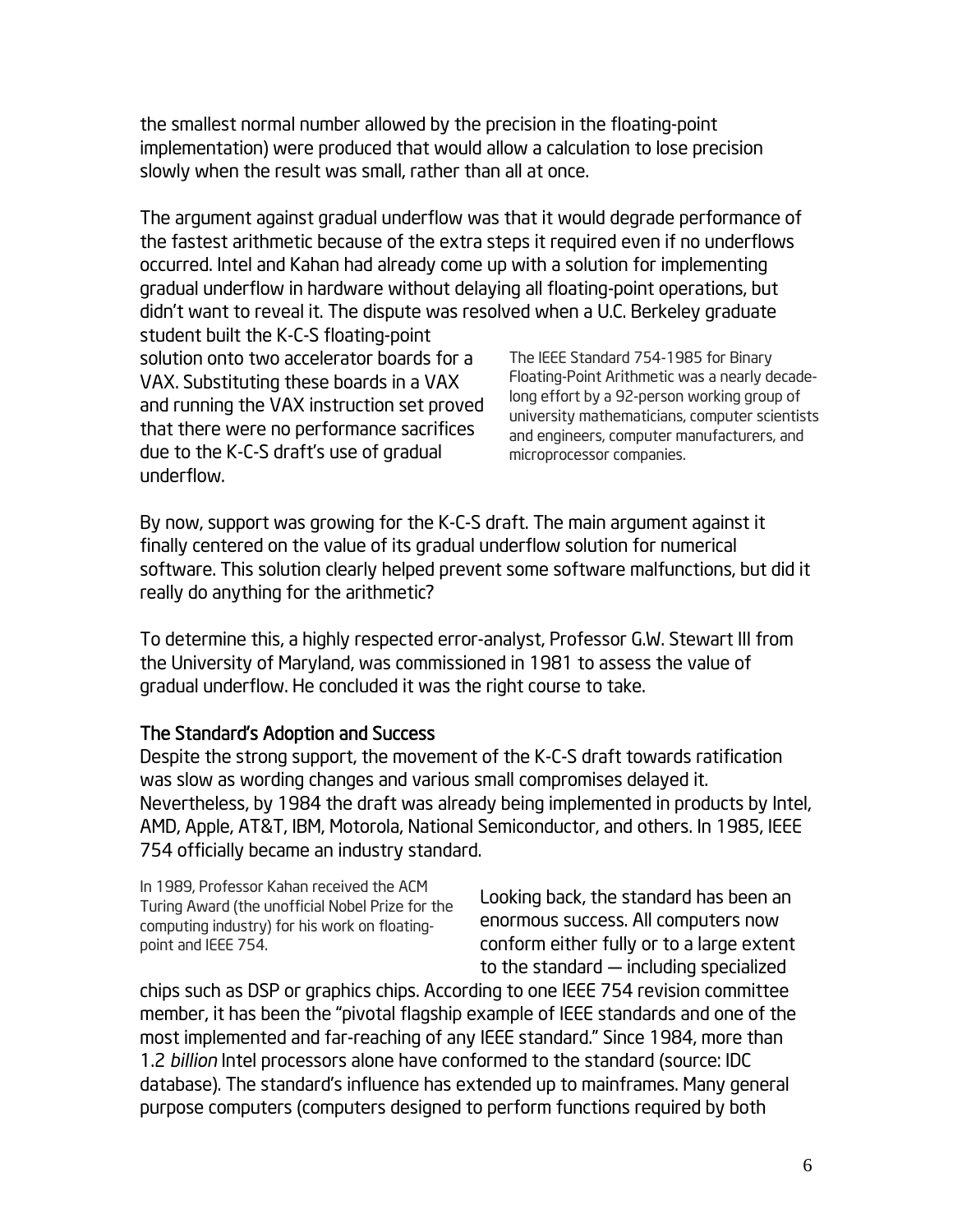the smallest normal number allowed by the precision in the floating-point implementation) were produced that would allow a calculation to lose precision slowly when the result was small, rather than all at once.

The argument against gradual underflow was that it would degrade performance of the fastest arithmetic because of the extra steps it required even if no underflows occurred. Intel and Kahan had already come up with a solution for implementing gradual underflow in hardware without delaying all floating-point operations, but didn't want to reveal it. The dispute was resolved when a U.C. Berkeley graduate

student built the K-C-S floating-point solution onto two accelerator boards for a VAX. Substituting these boards in a VAX and running the VAX instruction set proved that there were no performance sacrifices due to the K-C-S draft's use of gradual underflow.

The IEEE Standard 754-1985 for Binary Floating-Point Arithmetic was a nearly decadelong effort by a 92-person working group of university mathematicians, computer scientists and engineers, computer manufacturers, and microprocessor companies.

By now, support was growing for the K-C-S draft. The main argument against it finally centered on the value of its gradual underflow solution for numerical software. This solution clearly helped prevent some software malfunctions, but did it really do anything for the arithmetic?

To determine this, a highly respected error-analyst, Professor G.W. Stewart III from the University of Maryland, was commissioned in 1981 to assess the value of gradual underflow. He concluded it was the right course to take.

#### The Standard's Adoption and Success

Despite the strong support, the movement of the K-C-S draft towards ratification was slow as wording changes and various small compromises delayed it. Nevertheless, by 1984 the draft was already being implemented in products by Intel, AMD, Apple, AT&T, IBM, Motorola, National Semiconductor, and others. In 1985, IEEE 754 officially became an industry standard.

In 1989, Professor Kahan received the ACM Turing Award (the unofficial Nobel Prize for the computing industry) for his work on floatingpoint and IEEE 754.

Looking back, the standard has been an enormous success. All computers now conform either fully or to a large extent to the standard — including specialized

chips such as DSP or graphics chips. According to one IEEE 754 revision committee member, it has been the "pivotal flagship example of IEEE standards and one of the most implemented and far-reaching of any IEEE standard." Since 1984, more than 1.2 *billion* Intel processors alone have conformed to the standard (source: IDC database). The standard's influence has extended up to mainframes. Many general purpose computers (computers designed to perform functions required by both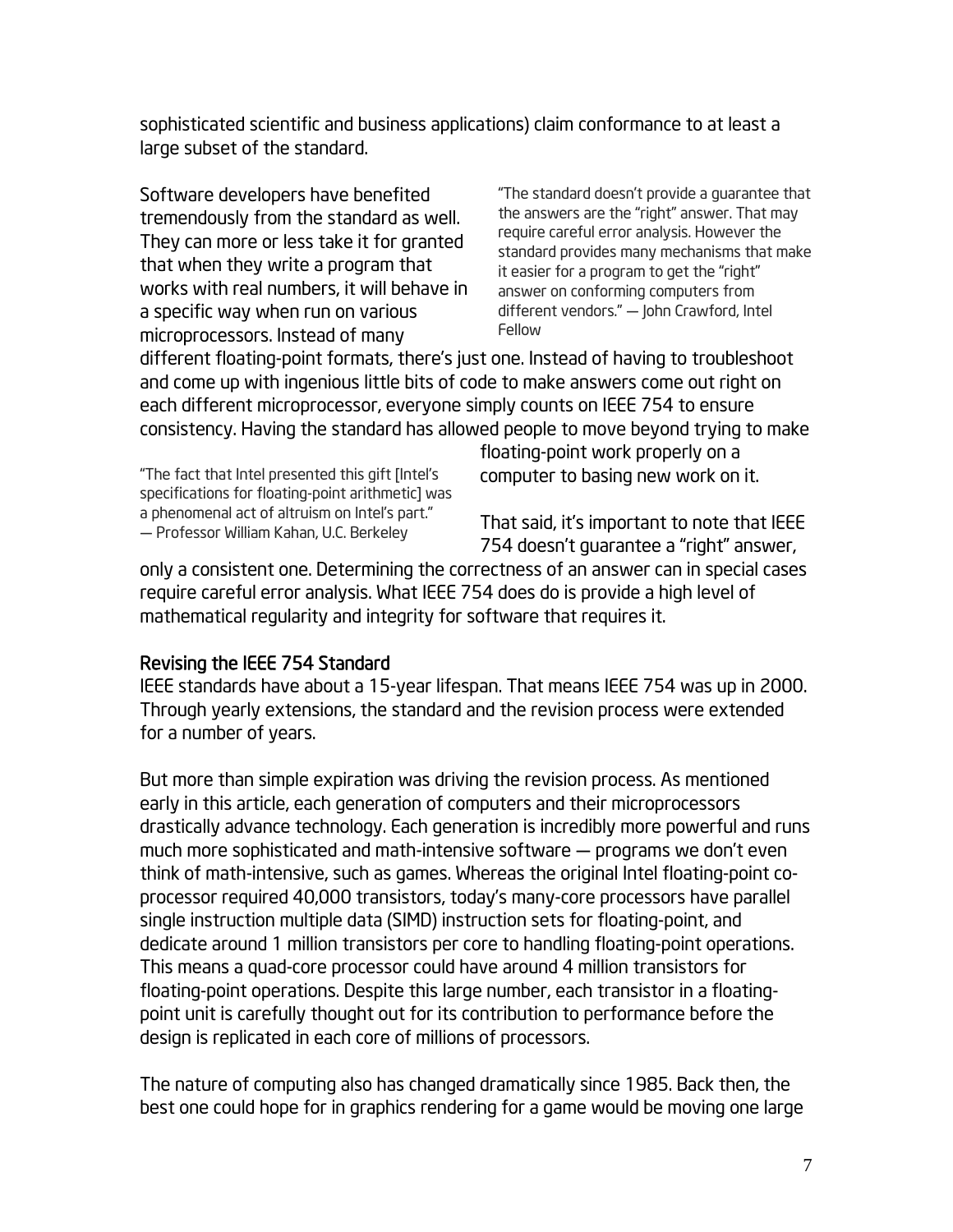sophisticated scientific and business applications) claim conformance to at least a large subset of the standard.

Software developers have benefited tremendously from the standard as well. They can more or less take it for granted that when they write a program that works with real numbers, it will behave in a specific way when run on various microprocessors. Instead of many

"The standard doesn't provide a guarantee that the answers are the "right" answer. That may require careful error analysis. However the standard provides many mechanisms that make it easier for a program to get the "right" answer on conforming computers from different vendors." — John Crawford, Intel Fellow

different floating-point formats, there's just one. Instead of having to troubleshoot and come up with ingenious little bits of code to make answers come out right on each different microprocessor, everyone simply counts on IEEE 754 to ensure consistency. Having the standard has allowed people to move beyond trying to make

"The fact that Intel presented this gift [Intel's specifications for floating-point arithmetic] was a phenomenal act of altruism on Intel's part." — Professor William Kahan, U.C. Berkeley

floating-point work properly on a computer to basing new work on it.

That said, it's important to note that IEEE 754 doesn't guarantee a "right" answer,

only a consistent one. Determining the correctness of an answer can in special cases require careful error analysis. What IEEE 754 does do is provide a high level of mathematical regularity and integrity for software that requires it.

## Revising the IEEE 754 Standard

IEEE standards have about a 15-year lifespan. That means IEEE 754 was up in 2000. Through yearly extensions, the standard and the revision process were extended for a number of years.

But more than simple expiration was driving the revision process. As mentioned early in this article, each generation of computers and their microprocessors drastically advance technology. Each generation is incredibly more powerful and runs much more sophisticated and math-intensive software — programs we don't even think of math-intensive, such as games. Whereas the original Intel floating-point coprocessor required 40,000 transistors, today's many-core processors have parallel single instruction multiple data (SIMD) instruction sets for floating-point, and dedicate around 1 million transistors per core to handling floating-point operations. This means a quad-core processor could have around 4 million transistors for floating-point operations. Despite this large number, each transistor in a floatingpoint unit is carefully thought out for its contribution to performance before the design is replicated in each core of millions of processors.

The nature of computing also has changed dramatically since 1985. Back then, the best one could hope for in graphics rendering for a game would be moving one large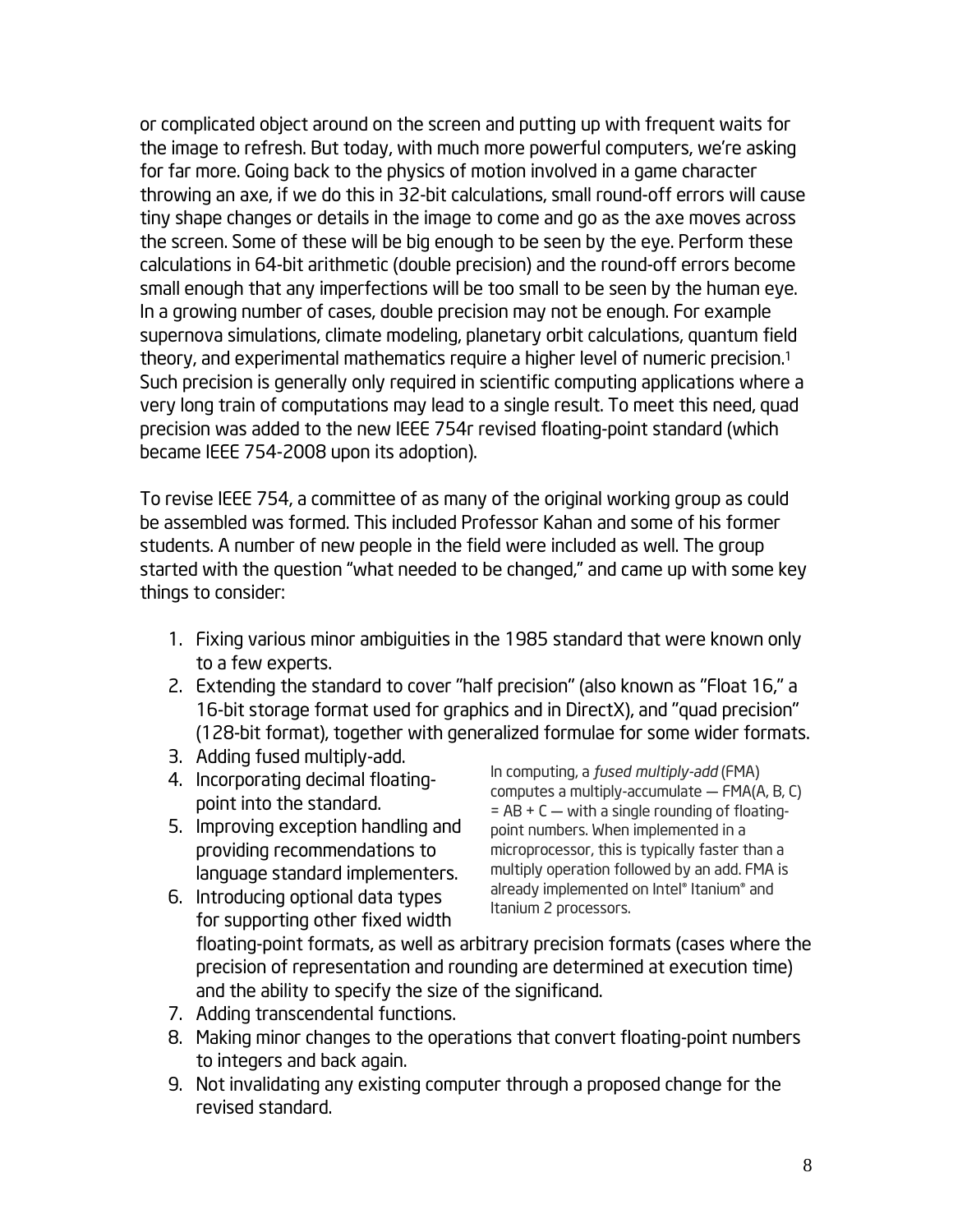or complicated object around on the screen and putting up with frequent waits for the image to refresh. But today, with much more powerful computers, we're asking for far more. Going back to the physics of motion involved in a game character throwing an axe, if we do this in 32-bit calculations, small round-off errors will cause tiny shape changes or details in the image to come and go as the axe moves across the screen. Some of these will be big enough to be seen by the eye. Perform these calculations in 64-bit arithmetic (double precision) and the round-off errors become small enough that any imperfections will be too small to be seen by the human eye. In a growing number of cases, double precision may not be enough. For example supernova simulations, climate modeling, planetary orbit calculations, quantum field theory, and experimental mathematics require a higher level of numeric precision.1 Such precision is generally only required in scientific computing applications where a very long train of computations may lead to a single result. To meet this need, quad precision was added to the new IEEE 754r revised floating-point standard (which became IEEE 754-2008 upon its adoption).

To revise IEEE 754, a committee of as many of the original working group as could be assembled was formed. This included Professor Kahan and some of his former students. A number of new people in the field were included as well. The group started with the question "what needed to be changed," and came up with some key things to consider:

- 1. Fixing various minor ambiguities in the 1985 standard that were known only to a few experts.
- 2. Extending the standard to cover "half precision" (also known as "Float 16," a 16-bit storage format used for graphics and in DirectX), and "quad precision" (128-bit format), together with generalized formulae for some wider formats.
- 3. Adding fused multiply-add.
- 4. Incorporating decimal floatingpoint into the standard.
- 5. Improving exception handling and providing recommendations to language standard implementers.

In computing, a *fused multiply-add* (FMA) computes a multiply-accumulate — FMA(A, B, C)  $= AB + C -$  with a single rounding of floatingpoint numbers. When implemented in a microprocessor, this is typically faster than a multiply operation followed by an add. FMA is already implemented on Intel® Itanium® and

- 6. Introducing optional data types for supporting other fixed width floating-point formats, as well as arbitrary precision formats (cases where the precision of representation and rounding are determined at execution time) and the ability to specify the size of the significand. Itanium 2 processors.
- 7. Adding transcendental functions.
- 8. Making minor changes to the operations that convert floating-point numbers to integers and back again.
- 9. Not invalidating any existing computer through a proposed change for the revised standard.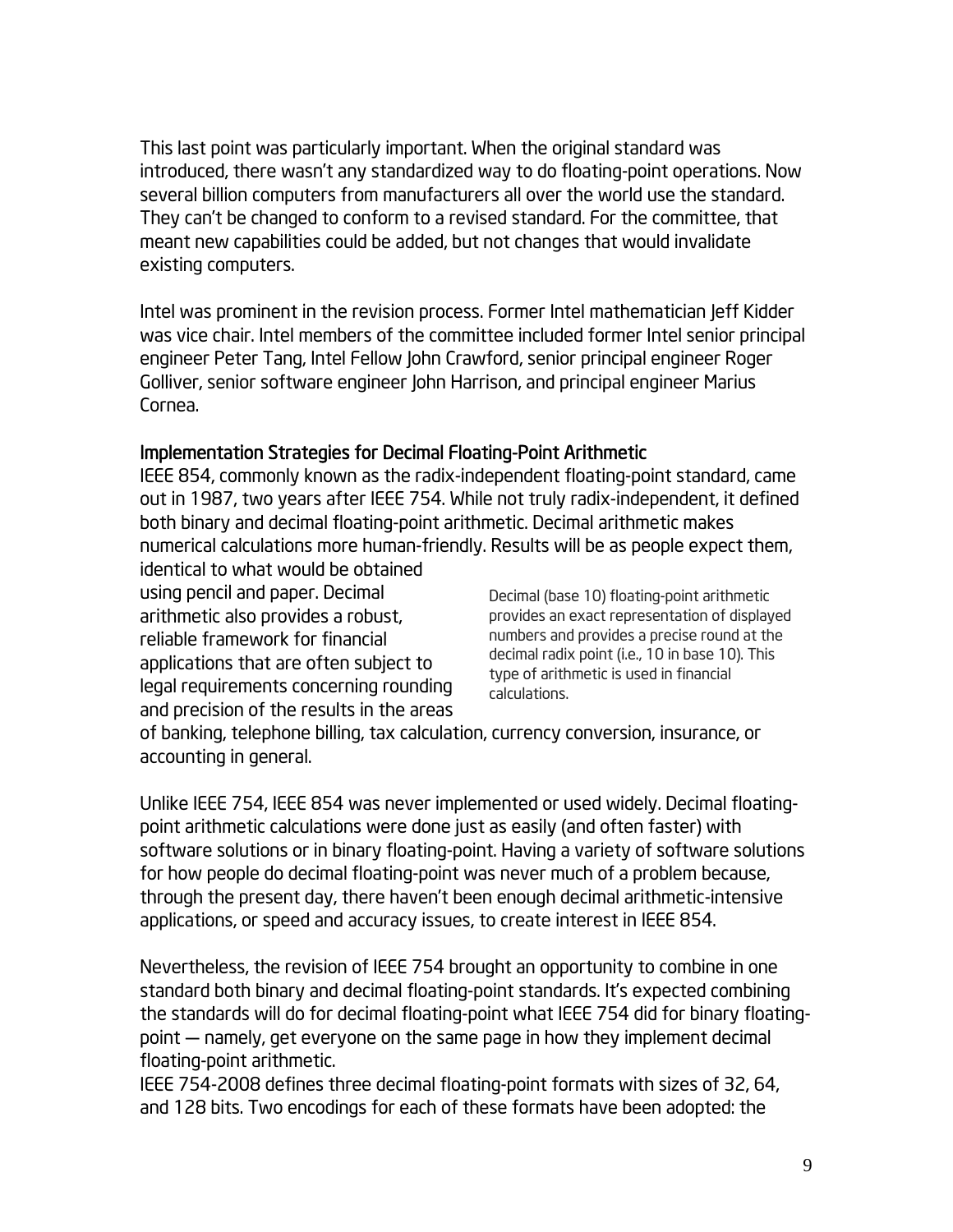This last point was particularly important. When the original standard was introduced, there wasn't any standardized way to do floating-point operations. Now several billion computers from manufacturers all over the world use the standard. They can't be changed to conform to a revised standard. For the committee, that meant new capabilities could be added, but not changes that would invalidate existing computers.

Intel was prominent in the revision process. Former Intel mathematician Jeff Kidder was vice chair. Intel members of the committee included former Intel senior principal engineer Peter Tang, Intel Fellow John Crawford, senior principal engineer Roger Golliver, senior software engineer John Harrison, and principal engineer Marius Cornea.

#### Implementation Strategies for Decimal Floating-Point Arithmetic

IEEE 854, commonly known as the radix-independent floating-point standard, came out in 1987, two years after IEEE 754. While not truly radix-independent, it defined both binary and decimal floating-point arithmetic. Decimal arithmetic makes numerical calculations more human-friendly. Results will be as people expect them,

identical to what would be obtained using pencil and paper. Decimal arithmetic also provides a robust, reliable framework for financial applications that are often subject to legal requirements concerning rounding and precision of the results in the areas

Decimal (base 10) floating-point arithmetic provides an exact representation of displayed numbers and provides a precise round at the decimal radix point (i.e., 10 in base 10). This type of arithmetic is used in financial calculations.

of banking, telephone billing, tax calculation, currency conversion, insurance, or accounting in general.

Unlike IEEE 754, IEEE 854 was never implemented or used widely. Decimal floatingpoint arithmetic calculations were done just as easily (and often faster) with software solutions or in binary floating-point. Having a variety of software solutions for how people do decimal floating-point was never much of a problem because, through the present day, there haven't been enough decimal arithmetic-intensive applications, or speed and accuracy issues, to create interest in IEEE 854.

Nevertheless, the revision of IEEE 754 brought an opportunity to combine in one standard both binary and decimal floating-point standards. It's expected combining the standards will do for decimal floating-point what IEEE 754 did for binary floatingpoint — namely, get everyone on the same page in how they implement decimal floating-point arithmetic.

IEEE 754-2008 defines three decimal floating-point formats with sizes of 32, 64, and 128 bits. Two encodings for each of these formats have been adopted: the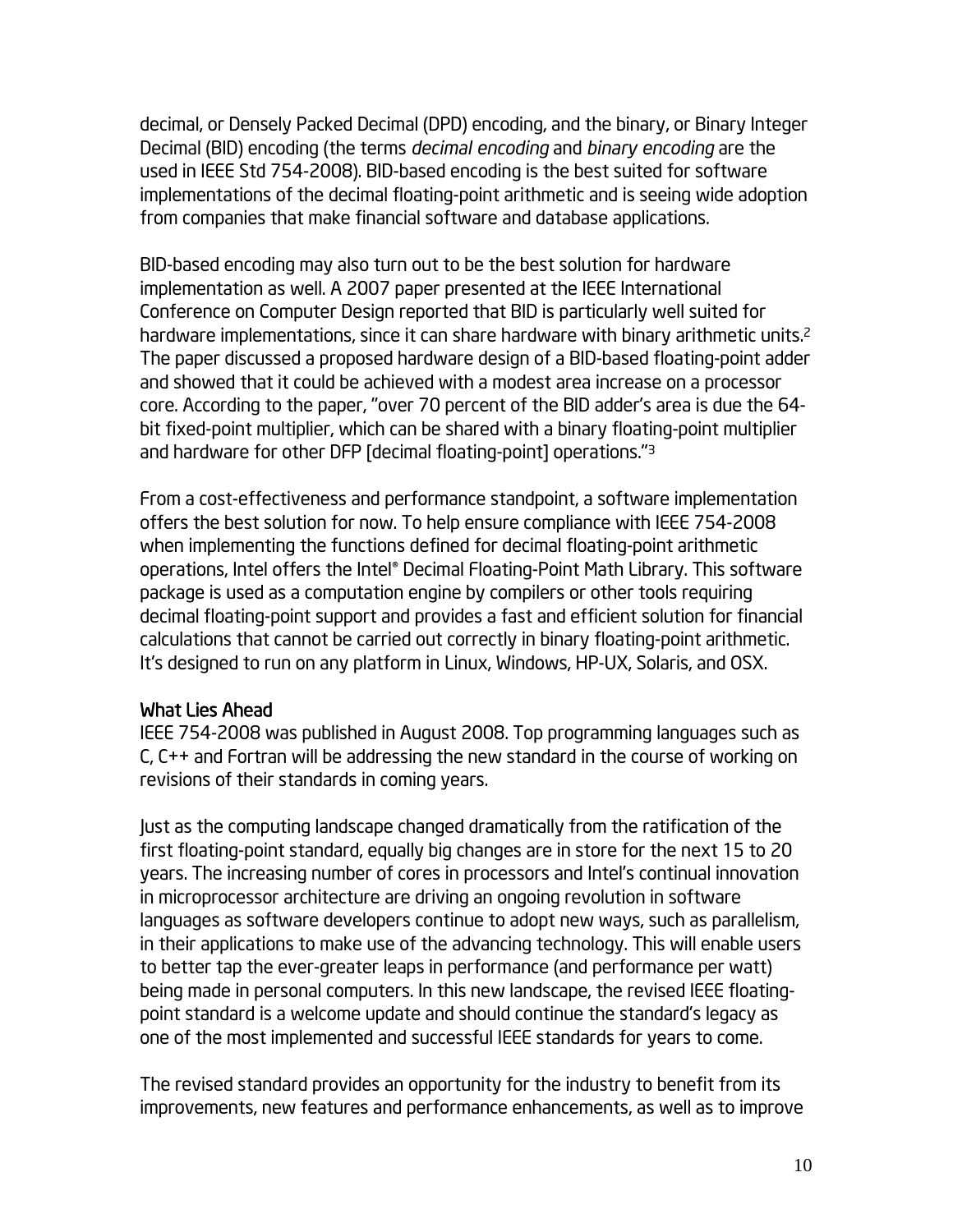decimal, or Densely Packed Decimal (DPD) encoding, and the binary, or Binary Integer Decimal (BID) encoding (the terms *decimal encoding* and *binary encoding* are the used in IEEE Std 754-2008). BID-based encoding is the best suited for software implementations of the decimal floating-point arithmetic and is seeing wide adoption from companies that make financial software and database applications.

BID-based encoding may also turn out to be the best solution for hardware implementation as well. A 2007 paper presented at the IEEE International Conference on Computer Design reported that BID is particularly well suited for hardware implementations, since it can share hardware with binary arithmetic units.<sup>2</sup> The paper discussed a proposed hardware design of a BID-based floating-point adder and showed that it could be achieved with a modest area increase on a processor core. According to the paper, "over 70 percent of the BID adder's area is due the 64 bit fixed-point multiplier, which can be shared with a binary floating-point multiplier and hardware for other DFP [decimal floating-point] operations."3

From a cost-effectiveness and performance standpoint, a software implementation offers the best solution for now. To help ensure compliance with IEEE 754-2008 when implementing the functions defined for decimal floating-point arithmetic operations, Intel offers the Intel® Decimal Floating-Point Math Library. This software package is used as a computation engine by compilers or other tools requiring decimal floating-point support and provides a fast and efficient solution for financial calculations that cannot be carried out correctly in binary floating-point arithmetic. It's designed to run on any platform in Linux, Windows, HP-UX, Solaris, and OSX.

#### What Lies Ahead

IEEE 754-2008 was published in August 2008. Top programming languages such as C, C++ and Fortran will be addressing the new standard in the course of working on revisions of their standards in coming years.

Just as the computing landscape changed dramatically from the ratification of the first floating-point standard, equally big changes are in store for the next 15 to 20 years. The increasing number of cores in processors and Intel's continual innovation in microprocessor architecture are driving an ongoing revolution in software languages as software developers continue to adopt new ways, such as parallelism, in their applications to make use of the advancing technology. This will enable users to better tap the ever-greater leaps in performance (and performance per watt) being made in personal computers. In this new landscape, the revised IEEE floatingpoint standard is a welcome update and should continue the standard's legacy as one of the most implemented and successful IEEE standards for years to come.

The revised standard provides an opportunity for the industry to benefit from its improvements, new features and performance enhancements, as well as to improve